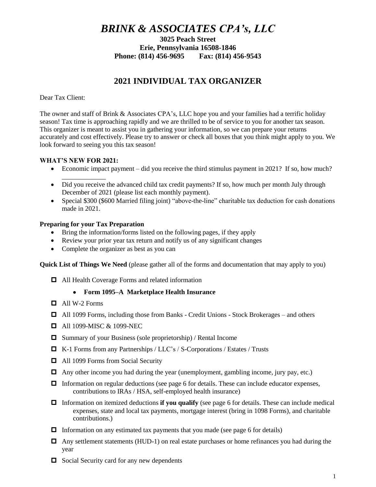# *BRINK & ASSOCIATES CPA's, LLC*

**3025 Peach Street Erie, Pennsylvania 16508-1846 Phone: (814) 456-9695 Fax: (814) 456-9543**

## **2021 INDIVIDUAL TAX ORGANIZER**

Dear Tax Client:

The owner and staff of Brink & Associates CPA's, LLC hope you and your families had a terrific holiday season! Tax time is approaching rapidly and we are thrilled to be of service to you for another tax season. This organizer is meant to assist you in gathering your information, so we can prepare your returns accurately and cost effectively. Please try to answer or check all boxes that you think might apply to you. We look forward to seeing you this tax season!

## **WHAT'S NEW FOR 2021:**

\_\_\_\_\_\_\_\_\_\_\_\_\_

- Economic impact payment did you receive the third stimulus payment in 2021? If so, how much?
- Did you receive the advanced child tax credit payments? If so, how much per month July through December of 2021 (please list each monthly payment).
- Special \$300 (\$600 Married filing joint) "above-the-line" charitable tax deduction for cash donations made in 2021.

## **Preparing for your Tax Preparation**

- Bring the information/forms listed on the following pages, if they apply
- Review your prior year tax return and notify us of any significant changes
- Complete the organizer as best as you can

**Quick List of Things We Need** (please gather all of the forms and documentation that may apply to you)

All Health Coverage Forms and related information

## **Form 1095–A Marketplace Health Insurance**

- $\Box$  All W-2 Forms
- All 1099 Forms, including those from Banks Credit Unions Stock Brokerages and others
- $\Box$  All 1099-MISC & 1099-NEC
- $\Box$  Summary of your Business (sole proprietorship) / Rental Income
- K-1 Forms from any Partnerships / LLC's / S-Corporations / Estates / Trusts
- □ All 1099 Forms from Social Security
- $\Box$  Any other income you had during the year (unemployment, gambling income, jury pay, etc.)
- $\Box$  Information on regular deductions (see page 6 for details. These can include educator expenses, contributions to IRAs / HSA, self-employed health insurance)
- Information on itemized deductions **if you qualify** (see page 6 for details. These can include medical expenses, state and local tax payments, mortgage interest (bring in 1098 Forms), and charitable contributions.)
- $\Box$  Information on any estimated tax payments that you made (see page 6 for details)
- $\Box$  Any settlement statements (HUD-1) on real estate purchases or home refinances you had during the year
- $\Box$  Social Security card for any new dependents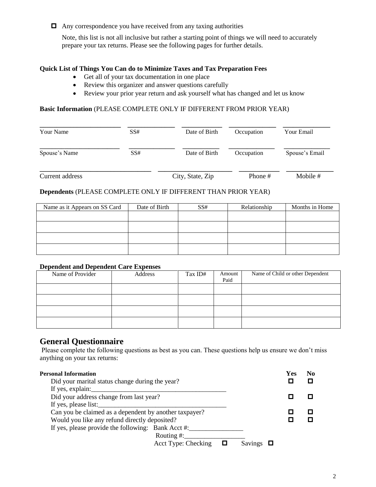$\Box$  Any correspondence you have received from any taxing authorities

Note, this list is not all inclusive but rather a starting point of things we will need to accurately prepare your tax returns. Please see the following pages for further details.

## **Quick List of Things You Can do to Minimize Taxes and Tax Preparation Fees**

- Get all of your tax documentation in one place
- Review this organizer and answer questions carefully
- Review your prior year return and ask yourself what has changed and let us know

## **Basic Information** (PLEASE COMPLETE ONLY IF DIFFERENT FROM PRIOR YEAR)

| Your Name       | SS# | Date of Birth    | Occupation | Your Email     |
|-----------------|-----|------------------|------------|----------------|
| Spouse's Name   | SS# | Date of Birth    | Occupation | Spouse's Email |
| Current address |     | City, State, Zip | Phone #    | Mobile #       |

## **Dependents** (PLEASE COMPLETE ONLY IF DIFFERENT THAN PRIOR YEAR)

| Name as it Appears on SS Card | Date of Birth | SS# | Relationship | Months in Home |
|-------------------------------|---------------|-----|--------------|----------------|
|                               |               |     |              |                |
|                               |               |     |              |                |
|                               |               |     |              |                |
|                               |               |     |              |                |

#### **Dependent and Dependent Care Expenses**

| Name of Provider | Address | Tax ID# | Amount<br>Paid | Name of Child or other Dependent |
|------------------|---------|---------|----------------|----------------------------------|
|                  |         |         |                |                                  |
|                  |         |         |                |                                  |
|                  |         |         |                |                                  |
|                  |         |         |                |                                  |

## **General Questionnaire**

Please complete the following questions as best as you can. These questions help us ensure we don't miss anything on your tax returns:

| <b>Personal Information</b>                            |         | Yes | No |
|--------------------------------------------------------|---------|-----|----|
| Did your marital status change during the year?        |         |     | п  |
| If yes, explain:                                       |         |     |    |
| Did your address change from last year?                |         |     |    |
| If yes, please list:                                   |         |     |    |
| Can you be claimed as a dependent by another taxpayer? |         |     |    |
| Would you like any refund directly deposited?          |         |     |    |
| If yes, please provide the following: Bank Acct #:     |         |     |    |
| Routing $#$ :                                          |         |     |    |
| Acct Type: Checking                                    | Savings |     |    |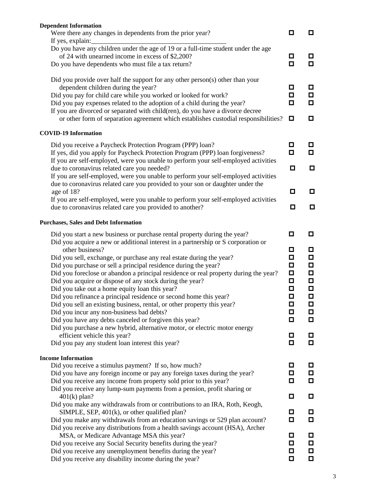| <b>Dependent Information</b><br>Were there any changes in dependents from the prior year?                                                               | О           | 0      |
|---------------------------------------------------------------------------------------------------------------------------------------------------------|-------------|--------|
| If yes, explain:                                                                                                                                        |             |        |
| Do you have any children under the age of 19 or a full-time student under the age                                                                       |             |        |
| of 24 with unearned income in excess of \$2,200?                                                                                                        | □           | o      |
| Do you have dependents who must file a tax return?                                                                                                      | О           | О      |
| Did you provide over half the support for any other person(s) other than your<br>dependent children during the year?                                    | ◘           | o      |
| Did you pay for child care while you worked or looked for work?                                                                                         | ◘           | O      |
| Did you pay expenses related to the adoption of a child during the year?                                                                                | О           | $\Box$ |
| If you are divorced or separated with child(ren), do you have a divorce decree                                                                          |             |        |
| or other form of separation agreement which establishes custodial responsibilities?                                                                     | ◘           | o      |
| <b>COVID-19 Information</b>                                                                                                                             |             |        |
| Did you receive a Paycheck Protection Program (PPP) loan?                                                                                               | о           | О      |
| If yes, did you apply for Paycheck Protection Program (PPP) loan forgiveness?                                                                           | О           | о      |
| If you are self-employed, were you unable to perform your self-employed activities                                                                      |             |        |
| due to coronavirus related care you needed?                                                                                                             | ◘           | ◘      |
| If you are self-employed, were you unable to perform your self-employed activities                                                                      |             |        |
| due to coronavirus related care you provided to your son or daughter under the                                                                          |             |        |
| age of 18?                                                                                                                                              | o           | ◘      |
| If you are self-employed, were you unable to perform your self-employed activities                                                                      | □           |        |
| due to coronavirus related care you provided to another?                                                                                                |             | O      |
| <b>Purchases, Sales and Debt Information</b>                                                                                                            |             |        |
| Did you start a new business or purchase rental property during the year?                                                                               | ◘           | o      |
| Did you acquire a new or additional interest in a partnership or S corporation or                                                                       |             |        |
| other business?                                                                                                                                         | о           | o      |
| Did you sell, exchange, or purchase any real estate during the year?                                                                                    | ◘           | О      |
| Did you purchase or sell a principal residence during the year?<br>Did you foreclose or abandon a principal residence or real property during the year? | О<br>$\Box$ | О<br>О |
| Did you acquire or dispose of any stock during the year?                                                                                                | $\Box$      | О      |
| Did you take out a home equity loan this year?                                                                                                          | О           | $\Box$ |
| Did you refinance a principal residence or second home this year?                                                                                       | ◘           | Ω      |
| Did you sell an existing business, rental, or other property this year?                                                                                 | ◘           | Д      |
| Did you incur any non-business bad debts?                                                                                                               | □           | О      |
| Did you have any debts canceled or forgiven this year?                                                                                                  | О           | О      |
| Did you purchase a new hybrid, alternative motor, or electric motor energy                                                                              |             |        |
| efficient vehicle this year?                                                                                                                            | ◘           | ◘      |
| Did you pay any student loan interest this year?                                                                                                        | О           | $\Box$ |
| <b>Income Information</b>                                                                                                                               |             |        |
| Did you receive a stimulus payment? If so, how much?                                                                                                    | ◘           | Д      |
| Did you have any foreign income or pay any foreign taxes during the year?                                                                               | $\Box$      | О      |
| Did you receive any income from property sold prior to this year?                                                                                       | О           | О      |
| Did you receive any lump-sum payments from a pension, profit sharing or<br>$401(k)$ plan?                                                               | $\Box$      | О      |
| Did you make any withdrawals from or contributions to an IRA, Roth, Keogh,                                                                              |             |        |
| SIMPLE, SEP, $401(k)$ , or other qualified plan?                                                                                                        | О           | ◘      |
| Did you make any withdrawals from an education savings or 529 plan account?                                                                             | $\Box$      | ◘      |
| Did you receive any distributions from a health savings account (HSA), Archer                                                                           |             |        |
| MSA, or Medicare Advantage MSA this year?                                                                                                               | о           | 口      |
| Did you receive any Social Security benefits during the year?                                                                                           | ◘           | О      |
| Did you receive any unemployment benefits during the year?                                                                                              | О           | $\Box$ |
| Did you receive any disability income during the year?                                                                                                  | □           | o      |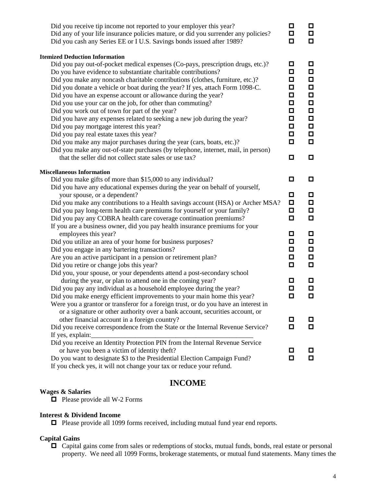| Did you receive tip income not reported to your employer this year?<br>Did any of your life insurance policies mature, or did you surrender any policies?<br>Did you cash any Series EE or I U.S. Savings bonds issued after 1989?                                                                                                                                                                                                                                                                                                                                                                                                                                                                                                                                                        | ◘<br>◘<br>$\Box$                                                                       | 0<br>$\Box$<br>$\Box$                                                        |
|-------------------------------------------------------------------------------------------------------------------------------------------------------------------------------------------------------------------------------------------------------------------------------------------------------------------------------------------------------------------------------------------------------------------------------------------------------------------------------------------------------------------------------------------------------------------------------------------------------------------------------------------------------------------------------------------------------------------------------------------------------------------------------------------|----------------------------------------------------------------------------------------|------------------------------------------------------------------------------|
| <b>Itemized Deduction Information</b><br>Did you pay out-of-pocket medical expenses (Co-pays, prescription drugs, etc.)?<br>Do you have evidence to substantiate charitable contributions?<br>Did you make any noncash charitable contributions (clothes, furniture, etc.)?<br>Did you donate a vehicle or boat during the year? If yes, attach Form 1098-C.<br>Did you have an expense account or allowance during the year?<br>Did you use your car on the job, for other than commuting?<br>Did you work out of town for part of the year?<br>Did you have any expenses related to seeking a new job during the year?<br>Did you pay mortgage interest this year?<br>Did you pay real estate taxes this year?<br>Did you make any major purchases during the year (cars, boats, etc.)? | О<br>$\Box$<br>$\Box$<br>О<br>О<br>$\Box$<br>◘<br>$\Box$<br>$\Box$<br>$\Box$<br>$\Box$ | О<br>П<br>О<br>$\Box$<br>$\Box$<br>$\Box$<br>О<br>□<br>$\Box$<br>П<br>$\Box$ |
| Did you make any out-of-state purchases (by telephone, internet, mail, in person)<br>that the seller did not collect state sales or use tax?                                                                                                                                                                                                                                                                                                                                                                                                                                                                                                                                                                                                                                              | о                                                                                      | О                                                                            |
| <b>Miscellaneous Information</b>                                                                                                                                                                                                                                                                                                                                                                                                                                                                                                                                                                                                                                                                                                                                                          |                                                                                        |                                                                              |
| Did you make gifts of more than \$15,000 to any individual?                                                                                                                                                                                                                                                                                                                                                                                                                                                                                                                                                                                                                                                                                                                               | ◘                                                                                      | О                                                                            |
| Did you have any educational expenses during the year on behalf of yourself,<br>your spouse, or a dependent?<br>Did you make any contributions to a Health savings account (HSA) or Archer MSA?<br>Did you pay long-term health care premiums for yourself or your family?<br>Did you pay any COBRA health care coverage continuation premiums?                                                                                                                                                                                                                                                                                                                                                                                                                                           | ◘<br>$\Box$<br>$\Box$<br>$\Box$                                                        | О<br>О<br>О<br>$\Box$                                                        |
| If you are a business owner, did you pay health insurance premiums for your<br>employees this year?<br>Did you utilize an area of your home for business purposes?<br>Did you engage in any bartering transactions?<br>Are you an active participant in a pension or retirement plan?<br>Did you retire or change jobs this year?                                                                                                                                                                                                                                                                                                                                                                                                                                                         | ◘<br>$\Box$<br>$\Box$<br>$\Box$<br>О                                                   | О<br>$\Box$<br>О<br>$\Box$<br>$\Box$                                         |
| Did you, your spouse, or your dependents attend a post-secondary school<br>during the year, or plan to attend one in the coming year?<br>Did you pay any individual as a household employee during the year?<br>Did you make energy efficient improvements to your main home this year?<br>Were you a grantor or transferor for a foreign trust, or do you have an interest in                                                                                                                                                                                                                                                                                                                                                                                                            | ◻<br>О<br>О                                                                            | □<br>$\Box$<br>о                                                             |
| or a signature or other authority over a bank account, securities account, or<br>other financial account in a foreign country?<br>Did you receive correspondence from the State or the Internal Revenue Service?<br>If yes, explain:                                                                                                                                                                                                                                                                                                                                                                                                                                                                                                                                                      | о<br>О                                                                                 | о<br>о                                                                       |
| Did you receive an Identity Protection PIN from the Internal Revenue Service<br>or have you been a victim of identity theft?<br>Do you want to designate \$3 to the Presidential Election Campaign Fund?<br>If you check yes, it will not change your tax or reduce your refund.                                                                                                                                                                                                                                                                                                                                                                                                                                                                                                          | ◻<br>◘                                                                                 | О<br>О                                                                       |

## **INCOME**

## **Wages & Salaries**

 $\Box$  Please provide all W-2 Forms

## **Interest & Dividend Income**

Please provide all 1099 forms received, including mutual fund year end reports.

## **Capital Gains**

 Capital gains come from sales or redemptions of stocks, mutual funds, bonds, real estate or personal property. We need all 1099 Forms, brokerage statements, or mutual fund statements. Many times the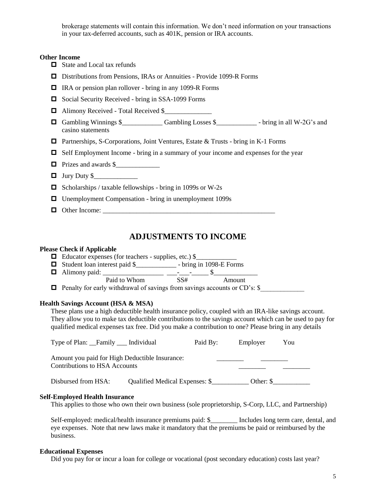brokerage statements will contain this information. We don't need information on your transactions in your tax-deferred accounts, such as 401K, pension or IRA accounts.

#### **Other Income**

- □ State and Local tax refunds
- Distributions from Pensions, IRAs or Annuities Provide 1099-R Forms
- □ IRA or pension plan rollover bring in any 1099-R Forms
- $\Box$  Social Security Received bring in SSA-1099 Forms
- □ Alimony Received Total Received \$
- $\Box$  Gambling Winnings \$  $\Box$  Gambling Losses \$  $\Box$  bring in all W-2G's and casino statements
- Partnerships, S-Corporations, Joint Ventures, Estate & Trusts bring in K-1 Forms
- $\Box$  Self Employment Income bring in a summary of your income and expenses for the year
- $\Box$  Prizes and awards  $\$\_\_$
- $\Box$  Jury Duty  $\$\_$
- $\Box$  Scholarships / taxable fellowships bring in 1099s or W-2s
- □ Unemployment Compensation bring in unemployment 1099s
- Other Income: \_\_\_\_\_\_\_\_\_\_\_\_\_\_\_\_\_\_\_\_\_\_\_\_\_\_\_\_\_\_\_\_\_\_\_\_\_\_\_\_\_\_\_\_\_\_\_\_\_\_\_

## **ADJUSTMENTS TO INCOME**

#### **Please Check if Applicable**

- $\Box$  Educator expenses (for teachers supplies, etc.) \$
- Student loan interest paid \$\_\_\_\_\_\_\_\_\_\_\_\_ bring in 1098-E Forms
- Alimony paid: \_\_\_\_\_\_\_\_\_\_\_\_\_\_\_\_\_\_ \_\_\_-\_\_\_-\_\_\_\_\_ \$\_\_\_\_\_\_\_\_\_\_\_\_\_ Paid to Whom SS# Amount
- $\Box$  Penalty for early withdrawal of savings from savings accounts or CD's:  $\$\,$

#### **Health Savings Account (HSA & MSA)**

These plans use a high deductible health insurance policy, coupled with an IRA-like savings account. They allow you to make tax deductible contributions to the savings account which can be used to pay for qualified medical expenses tax free. Did you make a contribution to one? Please bring in any details

| Type of Plan: Family __ Individual                                              |                                | Paid By: | Employer | You                  |
|---------------------------------------------------------------------------------|--------------------------------|----------|----------|----------------------|
| Amount you paid for High Deductible Insurance:<br>Contributions to HSA Accounts |                                |          |          |                      |
| Disbursed from HSA:                                                             | Qualified Medical Expenses: \$ |          |          | Other: $\mathcal{S}$ |

#### **Self-Employed Health Insurance**

This applies to those who own their own business (sole proprietorship, S-Corp, LLC, and Partnership)

Self-employed: medical/health insurance premiums paid: \$\_\_\_\_\_\_\_\_\_ Includes long term care, dental, and eye expenses. Note that new laws make it mandatory that the premiums be paid or reimbursed by the business.

#### **Educational Expenses**

Did you pay for or incur a loan for college or vocational (post secondary education) costs last year?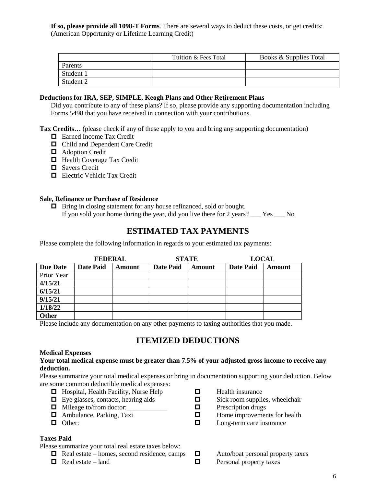**If so, please provide all 1098-T Forms**. There are several ways to deduct these costs, or get credits: (American Opportunity or Lifetime Learning Credit)

|           | Tuition & Fees Total | Books & Supplies Total |
|-----------|----------------------|------------------------|
| Parents   |                      |                        |
| Student 1 |                      |                        |
| Student 2 |                      |                        |

## **Deductions for IRA, SEP, SIMPLE, Keogh Plans and Other Retirement Plans**

Did you contribute to any of these plans? If so, please provide any supporting documentation including Forms 5498 that you have received in connection with your contributions.

**Tax Credits…** (please check if any of these apply to you and bring any supporting documentation)

- **Earned Income Tax Credit**
- □ Child and Dependent Care Credit
- $\Box$  Adoption Credit
- **Health Coverage Tax Credit**
- **O** Savers Credit
- **Electric Vehicle Tax Credit**

## **Sale, Refinance or Purchase of Residence**

 $\Box$  Bring in closing statement for any house refinanced, sold or bought. If you sold your home during the year, did you live there for 2 years? \_\_\_ Yes \_\_\_ No

## **ESTIMATED TAX PAYMENTS**

Please complete the following information in regards to your estimated tax payments:

|                 | <b>FEDERAL</b>   |               | <b>STATE</b>     |        | <b>LOCAL</b>     |        |
|-----------------|------------------|---------------|------------------|--------|------------------|--------|
| <b>Due Date</b> | <b>Date Paid</b> | <b>Amount</b> | <b>Date Paid</b> | Amount | <b>Date Paid</b> | Amount |
| Prior Year      |                  |               |                  |        |                  |        |
| 4/15/21         |                  |               |                  |        |                  |        |
| 6/15/21         |                  |               |                  |        |                  |        |
| 9/15/21         |                  |               |                  |        |                  |        |
| 1/18/22         |                  |               |                  |        |                  |        |
| Other           |                  |               |                  |        |                  |        |

Please include any documentation on any other payments to taxing authorities that you made.

## **ITEMIZED DEDUCTIONS**

#### **Medical Expenses**

#### **Your total medical expense must be greater than 7.5% of your adjusted gross income to receive any deduction.**

Please summarize your total medical expenses or bring in documentation supporting your deduction. Below are some common deductible medical expenses:

- 
- $\Box$  Hospital, Health Facility, Nurse Help  $\Box$  Health insurance E Eve glasses, contacts, hearing aids  $\Box$  Sick room supplies  $\Box$  Eye glasses, contacts, hearing aids  $\Box$  Sick room supplies, wheelchair
- $\Box$  Mileage to/from doctor:  $\Box$  Prescription drugs
- 
- 

## **Taxes Paid**

Please summarize your total real estate taxes below:

- $\Box$  Real estate homes, second residence, camps  $\Box$  Auto/boat personal property taxes
- 
- 
- 
- 
- Ambulance, Parking, Taxi Home improvements for health
- Other: Constants Constants Constants Constants Constants Constants Constants Constants Constants Constants Constants Constants Constants Constants Constants Constants Constants Constants Constants Constants Constants Const
	-
- $\Box$  Real estate land  $\Box$  Personal property taxes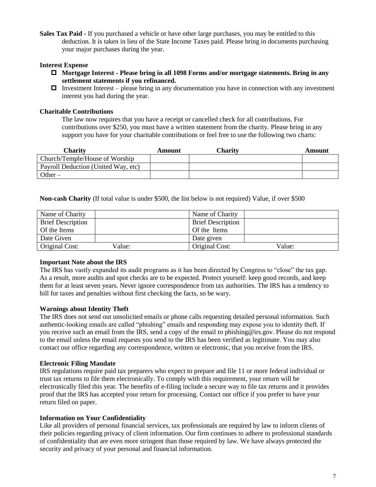**Sales Tax Paid -** If you purchased a vehicle or have other large purchases, you may be entitled to this deduction. It is taken in lieu of the State Income Taxes paid. Please bring in documents purchasing your major purchases during the year.

## **Interest Expense**

- **Mortgage Interest - Please bring in all 1098 Forms and/or mortgage statements. Bring in any settlement statements if you refinanced.**
- $\Box$  Investment Interest please bring in any documentation you have in connection with any investment interest you had during the year.

## **Charitable Contributions**

The law now requires that you have a receipt or cancelled check for all contributions. For contributions over \$250, you must have a written statement from the charity. Please bring in any support you have for your charitable contributions or feel free to use the following two charts:

| Charity                             | Amount | Charity | Amount |
|-------------------------------------|--------|---------|--------|
| Church/Temple/House of Worship      |        |         |        |
| Payroll Deduction (United Way, etc) |        |         |        |
| Other $-$                           |        |         |        |

**Non-cash Charity** (If total value is under \$500, the list below is not required) Value, if over \$500

| Name of Charity          | Name of Charity          |
|--------------------------|--------------------------|
| <b>Brief Description</b> | <b>Brief Description</b> |
| Of the Items             | Of the Items             |
| Date Given               | Date given               |
| Original Cost:<br>Value: | Original Cost:<br>Value: |

## **Important Note about the IRS**

The IRS has vastly expanded its audit programs as it has been directed by Congress to "close" the tax gap. As a result, more audits and spot checks are to be expected. Protect yourself: keep good records, and keep them for at least seven years. Never ignore correspondence from tax authorities. The IRS has a tendency to bill for taxes and penalties without first checking the facts, so be wary.

## **Warnings about Identity Theft**

The IRS does not send out unsolicited emails or phone calls requesting detailed personal information. Such authentic-looking emails are called "phishing" emails and responding may expose you to identity theft. If you receive such an email from the IRS, send a copy of the email to phishing@irs.gov. Please do not respond to the email unless the email requests you send to the IRS has been verified as legitimate. You may also contact our office regarding any correspondence, written or electronic, that you receive from the IRS.

## **Electronic Filing Mandate**

IRS regulations require paid tax preparers who expect to prepare and file 11 or more federal individual or trust tax returns to file them electronically. To comply with this requirement, your return will be electronically filed this year. The benefits of e-filing include a secure way to file tax returns and it provides proof that the IRS has accepted your return for processing. Contact our office if you prefer to have your return filed on paper.

## **Information on Your Confidentiality**

Like all providers of personal financial services, tax professionals are required by law to inform clients of their policies regarding privacy of client information. Our firm continues to adhere to professional standards of confidentiality that are even more stringent than those required by law. We have always protected the security and privacy of your personal and financial information.